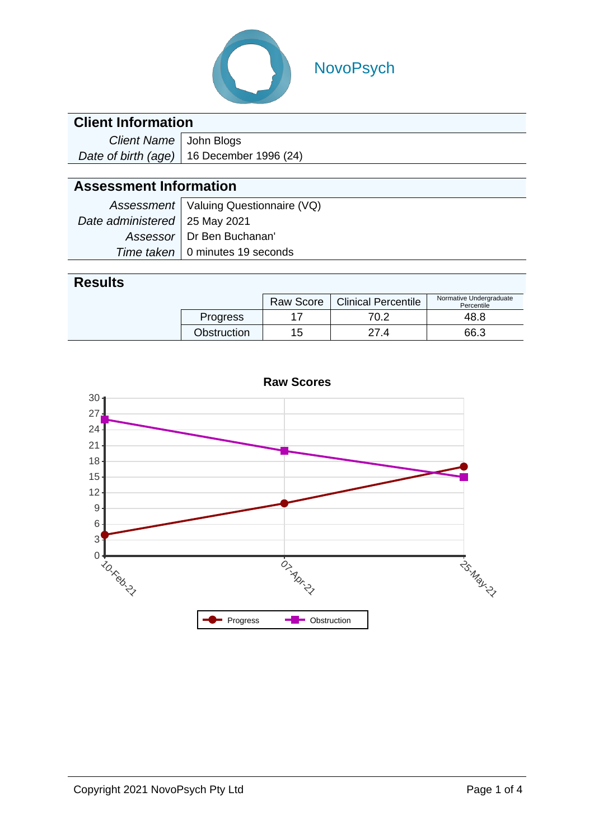

# NovoPsych

|  | <b>Client Information</b> |
|--|---------------------------|
|  |                           |
|  |                           |

| Client Name   John Blogs |                                             |
|--------------------------|---------------------------------------------|
|                          | Date of birth (age)   16 December 1996 (24) |

#### **Assessment Information**

|                                 | Assessment   Valuing Questionnaire (VQ) |
|---------------------------------|-----------------------------------------|
| Date administered   25 May 2021 |                                         |
|                                 | Assessor   Dr Ben Buchanan'             |
|                                 | Time taken   0 minutes 19 seconds       |

#### **Results**

|  |                 | <b>Raw Score</b> | <b>Clinical Percentile</b> | Normative Undergraduate<br>Percentile |  |
|--|-----------------|------------------|----------------------------|---------------------------------------|--|
|  | <b>Progress</b> |                  | 70.2                       | 48.8                                  |  |
|  | Obstruction     | 15               | 27.<br>.4                  | 66.3                                  |  |

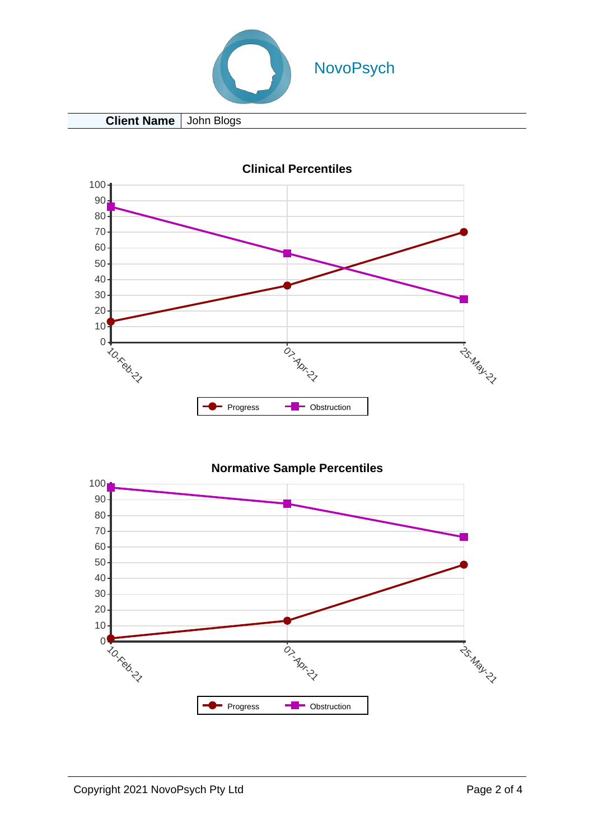

**Client Name** John Blogs



**Clinical Percentiles**

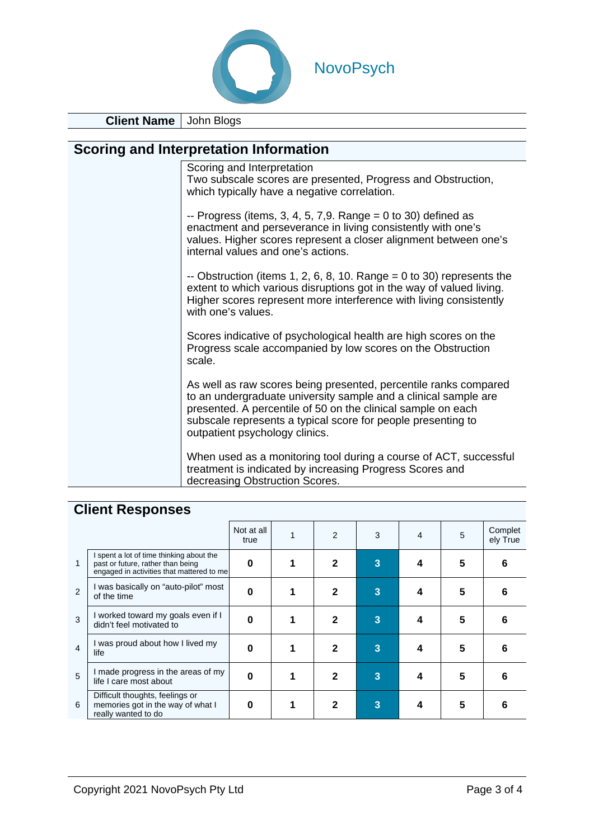

**Client Name** John Blogs

#### **Scoring and Interpretation Information**

| Scoring and Interpretation<br>Two subscale scores are presented, Progress and Obstruction,<br>which typically have a negative correlation.                                                                                                                                                            |
|-------------------------------------------------------------------------------------------------------------------------------------------------------------------------------------------------------------------------------------------------------------------------------------------------------|
| -- Progress (items, 3, 4, 5, 7,9. Range = $0$ to 30) defined as<br>enactment and perseverance in living consistently with one's<br>values. Higher scores represent a closer alignment between one's<br>internal values and one's actions.                                                             |
| -- Obstruction (items 1, 2, 6, 8, 10. Range = 0 to 30) represents the<br>extent to which various disruptions got in the way of valued living.<br>Higher scores represent more interference with living consistently<br>with one's values.                                                             |
| Scores indicative of psychological health are high scores on the<br>Progress scale accompanied by low scores on the Obstruction<br>scale.                                                                                                                                                             |
| As well as raw scores being presented, percentile ranks compared<br>to an undergraduate university sample and a clinical sample are<br>presented. A percentile of 50 on the clinical sample on each<br>subscale represents a typical score for people presenting to<br>outpatient psychology clinics. |
| When used as a monitoring tool during a course of ACT, successful<br>treatment is indicated by increasing Progress Scores and<br>decreasing Obstruction Scores.                                                                                                                                       |

### **Client Responses**

|                |                                                                                                                            | Not at all<br>true | $\mathcal{P}$ | 3 | 4 | 5 | Complet<br>ely True |
|----------------|----------------------------------------------------------------------------------------------------------------------------|--------------------|---------------|---|---|---|---------------------|
| 1              | I spent a lot of time thinking about the<br>past or future, rather than being<br>engaged in activities that mattered to me | 0                  | $\mathbf{2}$  | 3 | 4 | 5 | 6                   |
| $\mathfrak{p}$ | I was basically on "auto-pilot" most<br>of the time                                                                        | 0                  | $\mathbf 2$   | 3 | 4 | 5 | 6                   |
| 3              | I worked toward my goals even if I<br>didn't feel motivated to                                                             | 0                  | $\mathbf 2$   | 3 | 4 | 5 | 6                   |
| $\overline{4}$ | I was proud about how I lived my<br>life                                                                                   | Ω                  | $\mathbf{2}$  | 3 | 4 | 5 | 6                   |
| 5              | I made progress in the areas of my<br>life I care most about                                                               | O                  | 2             | 3 | 4 | 5 | 6                   |
| 6              | Difficult thoughts, feelings or<br>memories got in the way of what I<br>really wanted to do                                | Ω                  | $\mathbf{2}$  | 3 | 4 | 5 | 6                   |